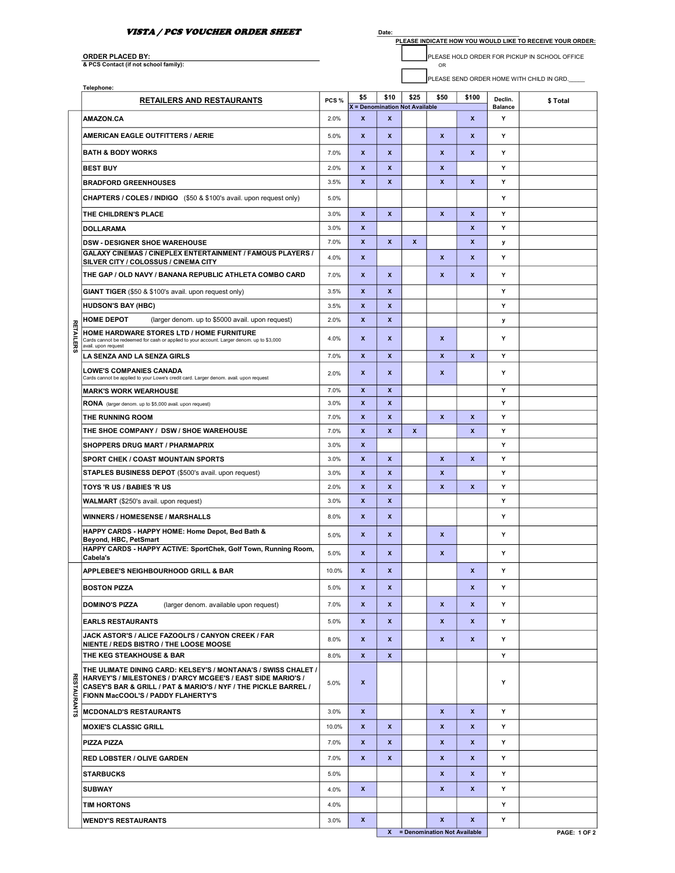## VISTA / PCS VOUCHER ORDER SHEET

Date:

PLEASE INDICATE HOW YOU WOULD LIKE TO RECEIVE YOUR ORDER:

ORDER PLACED BY:<br>& PCS Contact (if not school family):

ORDER PLACED BY: PLEASE HOLD ORDER FOR PICKUP IN SCHOOL OFFICE

PLEASE SEND ORDER HOME WITH CHILD IN GRD.

|                    | Telephone:                                                                                                                                                                                                                              |              |                                       |                  |                  |                                |                  |                           |                     |
|--------------------|-----------------------------------------------------------------------------------------------------------------------------------------------------------------------------------------------------------------------------------------|--------------|---------------------------------------|------------------|------------------|--------------------------------|------------------|---------------------------|---------------------|
|                    | <b>RETAILERS AND RESTAURANTS</b>                                                                                                                                                                                                        | PCS%         | \$5<br>X = Denomination Not Available | \$10             | \$25             | \$50                           | \$100            | Declin.<br><b>Balance</b> | \$ Total            |
|                    | <b>AMAZON.CA</b>                                                                                                                                                                                                                        | 2.0%         | $\boldsymbol{x}$                      | $\boldsymbol{x}$ |                  |                                | x                | Υ                         |                     |
|                    | AMERICAN EAGLE OUTFITTERS / AERIE                                                                                                                                                                                                       | 5.0%         | $\boldsymbol{x}$                      | $\boldsymbol{x}$ |                  | $\boldsymbol{x}$               | x                | Υ                         |                     |
|                    | <b>BATH &amp; BODY WORKS</b>                                                                                                                                                                                                            | 7.0%         | $\boldsymbol{x}$                      | X                |                  | $\boldsymbol{x}$               | x                | Υ                         |                     |
|                    | <b>BEST BUY</b>                                                                                                                                                                                                                         | 2.0%         | $\boldsymbol{x}$                      | $\mathbf{x}$     |                  | $\mathbf{x}$                   |                  | Y                         |                     |
|                    | <b>BRADFORD GREENHOUSES</b>                                                                                                                                                                                                             | 3.5%         | $\boldsymbol{x}$                      | $\boldsymbol{x}$ |                  | $\boldsymbol{x}$               | X                | Y                         |                     |
|                    | <b>CHAPTERS / COLES / INDIGO</b> (\$50 & \$100's avail. upon request only)                                                                                                                                                              | 5.0%         |                                       |                  |                  |                                |                  | Υ                         |                     |
|                    | THE CHILDREN'S PLACE                                                                                                                                                                                                                    | 3.0%         | X                                     | $\mathbf{x}$     |                  | $\mathbf{x}$                   | X                | Υ                         |                     |
|                    | <b>DOLLARAMA</b>                                                                                                                                                                                                                        | 3.0%         | $\boldsymbol{x}$                      |                  |                  |                                | X                | Υ                         |                     |
|                    | <b>DSW - DESIGNER SHOE WAREHOUSE</b>                                                                                                                                                                                                    | 7.0%         | $\boldsymbol{x}$                      | X                | $\boldsymbol{x}$ |                                | x                | у                         |                     |
|                    | GALAXY CINEMAS / CINEPLEX ENTERTAINMENT / FAMOUS PLAYERS /<br>SILVER CITY / COLOSSUS / CINEMA CITY                                                                                                                                      | 4.0%         | $\boldsymbol{x}$                      |                  |                  | $\boldsymbol{x}$               | X                | Υ                         |                     |
|                    | THE GAP / OLD NAVY / BANANA REPUBLIC ATHLETA COMBO CARD                                                                                                                                                                                 | 7.0%         | X                                     | X                |                  | X                              | x                | Y                         |                     |
|                    | <b>GIANT TIGER</b> (\$50 & \$100's avail. upon request only)                                                                                                                                                                            | 3.5%         | $\boldsymbol{x}$                      | x                |                  |                                |                  | Υ                         |                     |
|                    | <b>HUDSON'S BAY (HBC)</b>                                                                                                                                                                                                               | 3.5%         | $\boldsymbol{x}$                      | $\pmb{\chi}$     |                  |                                |                  | Y                         |                     |
|                    | <b>HOME DEPOT</b><br>(larger denom. up to \$5000 avail. upon request)                                                                                                                                                                   | 2.0%         | $\boldsymbol{x}$                      | $\pmb{\chi}$     |                  |                                |                  | y                         |                     |
| <b>RETAILERS</b>   | HOME HARDWARE STORES LTD / HOME FURNITURE<br>Cards cannot be redeemed for cash or applied to your account. Larger denom. up to \$3,000<br>avail, upon request                                                                           | 4.0%         | $\boldsymbol{x}$                      | X                |                  | $\boldsymbol{x}$               |                  | Y                         |                     |
|                    | <b>LA SENZA AND LA SENZA GIRLS</b>                                                                                                                                                                                                      | 7.0%         | $\boldsymbol{x}$                      | $\boldsymbol{x}$ |                  | X                              | X                | Y                         |                     |
|                    | <b>LOWE'S COMPANIES CANADA</b><br>Cards cannot be applied to your Lowe's credit card. Larger denom. avail. upon request                                                                                                                 | 2.0%         | $\boldsymbol{x}$                      | $\mathbf{x}$     |                  | $\mathbf{x}$                   |                  | Y                         |                     |
|                    | <b>MARK'S WORK WEARHOUSE</b>                                                                                                                                                                                                            | 7.0%         | $\boldsymbol{x}$                      | $\boldsymbol{x}$ |                  |                                |                  | Y                         |                     |
|                    | <b>RONA</b> (larger denom. up to \$5,000 avail. upon request)                                                                                                                                                                           | 3.0%         | $\boldsymbol{x}$                      | $\boldsymbol{x}$ |                  |                                |                  | Υ                         |                     |
|                    | THE RUNNING ROOM                                                                                                                                                                                                                        | 7.0%         | $\boldsymbol{x}$                      | $\boldsymbol{x}$ |                  | $\boldsymbol{x}$               | X                | Y                         |                     |
|                    | THE SHOE COMPANY / DSW / SHOE WAREHOUSE                                                                                                                                                                                                 | 7.0%         | $\boldsymbol{x}$<br>$\boldsymbol{x}$  | $\mathbf{x}$     | $\boldsymbol{x}$ |                                | X                | Υ<br>Υ                    |                     |
|                    | <b>SHOPPERS DRUG MART / PHARMAPRIX</b><br><b>SPORT CHEK / COAST MOUNTAIN SPORTS</b>                                                                                                                                                     | 3.0%<br>3.0% | $\boldsymbol{x}$                      | $\mathbf{x}$     |                  | $\mathbf{x}$                   | X                | Y                         |                     |
|                    | <b>STAPLES BUSINESS DEPOT (\$500's avail. upon request)</b>                                                                                                                                                                             | 3.0%         | $\boldsymbol{x}$                      | $\boldsymbol{x}$ |                  | $\boldsymbol{x}$               |                  | Y                         |                     |
|                    | TOYS 'R US / BABIES 'R US                                                                                                                                                                                                               | 2.0%         | $\boldsymbol{x}$                      | $\boldsymbol{x}$ |                  | X                              | X                | Y                         |                     |
|                    | <b>WALMART</b> (\$250's avail. upon request)                                                                                                                                                                                            | 3.0%         | $\boldsymbol{x}$                      | $\mathbf{x}$     |                  |                                |                  | Y                         |                     |
|                    | <b>WINNERS / HOMESENSE / MARSHALLS</b>                                                                                                                                                                                                  | 8.0%         | $\boldsymbol{x}$                      | X                |                  |                                |                  | Υ                         |                     |
|                    | HAPPY CARDS - HAPPY HOME: Home Depot, Bed Bath &                                                                                                                                                                                        | 5.0%         | $\boldsymbol{x}$                      | $\boldsymbol{x}$ |                  | $\boldsymbol{x}$               |                  | Υ                         |                     |
|                    | Beyond, HBC, PetSmart<br>HAPPY CARDS - HAPPY ACTIVE: SportChek, Golf Town, Running Room,<br>Cabela's                                                                                                                                    | 5.0%         | $\boldsymbol{x}$                      | $\mathbf{x}$     |                  | $\boldsymbol{x}$               |                  | Y                         |                     |
|                    | APPLEBEE'S NEIGHBOURHOOD GRILL & BAR                                                                                                                                                                                                    | 10.0%        | $\boldsymbol{x}$                      | $\boldsymbol{x}$ |                  |                                | X                | Υ                         |                     |
|                    | <b>BOSTON PIZZA</b>                                                                                                                                                                                                                     | 5.0%         | X                                     | x                |                  |                                | X                | Υ                         |                     |
|                    | <b>DOMINO'S PIZZA</b><br>(larger denom. available upon request)                                                                                                                                                                         | 7.0%         | $\mathbf{x}$                          | $\mathbf{x}$     |                  | $\mathbf{x}$                   | X                | Y                         |                     |
|                    | <b>EARLS RESTAURANTS</b>                                                                                                                                                                                                                | 5.0%         | $\boldsymbol{x}$                      | X                |                  | $\boldsymbol{x}$               | X                | Υ                         |                     |
|                    | JACK ASTOR'S / ALICE FAZOOLI'S / CANYON CREEK / FAR                                                                                                                                                                                     | 8.0%         | X                                     | X                |                  | $\boldsymbol{x}$               | $\boldsymbol{x}$ | Y                         |                     |
|                    | NIENTE / REDS BISTRO / THE LOOSE MOOSE<br>THE KEG STEAKHOUSE & BAR                                                                                                                                                                      | 8.0%         | X                                     | X                |                  |                                |                  | Υ                         |                     |
| <b>RESTAURANTS</b> | THE ULIMATE DINING CARD: KELSEY'S / MONTANA'S / SWISS CHALET /<br>HARVEY'S / MILESTONES / D'ARCY MCGEE'S / EAST SIDE MARIO'S /<br>CASEY'S BAR & GRILL / PAT & MARIO'S / NYF / THE PICKLE BARREL /<br>FIONN MacCOOL'S / PADDY FLAHERTY'S | 5.0%         | x                                     |                  |                  |                                |                  | Υ                         |                     |
|                    | <b>MCDONALD'S RESTAURANTS</b>                                                                                                                                                                                                           | 3.0%         | $\boldsymbol{x}$                      |                  |                  | $\boldsymbol{x}$               | X                | Υ                         |                     |
|                    | <b>MOXIE'S CLASSIC GRILL</b>                                                                                                                                                                                                            | 10.0%        | $\boldsymbol{x}$                      | X                |                  | $\boldsymbol{x}$               | X                | Υ                         |                     |
|                    | <b>PIZZA PIZZA</b>                                                                                                                                                                                                                      | 7.0%         | X                                     | X                |                  | $\pmb{\mathsf{x}}$             | X                | Y                         |                     |
|                    | <b>RED LOBSTER / OLIVE GARDEN</b>                                                                                                                                                                                                       | 7.0%         | $\boldsymbol{x}$                      | X                |                  | $\boldsymbol{x}$               | x                | Υ                         |                     |
|                    | <b>STARBUCKS</b>                                                                                                                                                                                                                        | 5.0%         |                                       |                  |                  | $\pmb{\mathsf{x}}$             | X                | Υ                         |                     |
|                    | <b>SUBWAY</b>                                                                                                                                                                                                                           | 4.0%         | X                                     |                  |                  | $\boldsymbol{x}$               | X                | Υ                         |                     |
|                    | <b>TIM HORTONS</b>                                                                                                                                                                                                                      | 4.0%         |                                       |                  |                  |                                |                  | Y                         |                     |
|                    | <b>WENDY'S RESTAURANTS</b>                                                                                                                                                                                                              | 3.0%         | $\pmb{\mathsf{x}}$                    |                  |                  | $\boldsymbol{x}$               | X                | Υ                         |                     |
|                    |                                                                                                                                                                                                                                         |              |                                       |                  |                  | X = Denomination Not Available |                  |                           | <b>PAGE: 1 OF 2</b> |